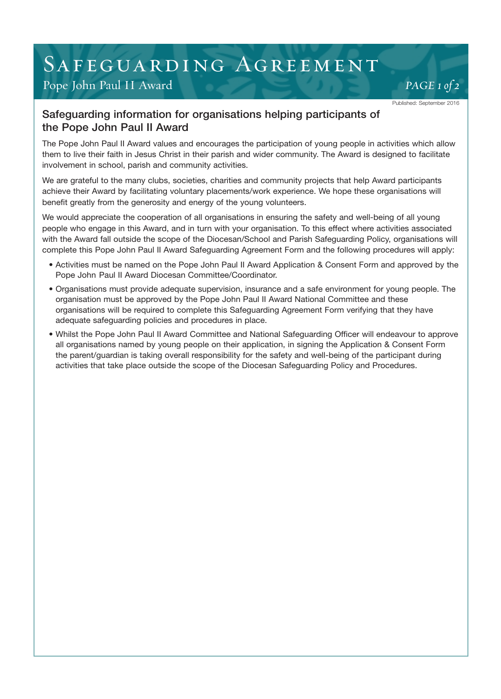## SAFEGUARDING AGREEMENT

### Pope John Paul II Award *Pope John Paul II Award*

**84**

Published: September 2016

#### Safeguarding information for organisations helping participants of the Pope John Paul II Award

The Pope John Paul II Award values and encourages the participation of young people in activities which allow them to live their faith in Jesus Christ in their parish and wider community. The Award is designed to facilitate involvement in school, parish and community activities.

We are grateful to the many clubs, societies, charities and community projects that help Award participants achieve their Award by facilitating voluntary placements/work experience. We hope these organisations will benefit greatly from the generosity and energy of the young volunteers.

We would appreciate the cooperation of all organisations in ensuring the safety and well-being of all young people who engage in this Award, and in turn with your organisation. To this effect where activities associated with the Award fall outside the scope of the Diocesan/School and Parish Safeguarding Policy, organisations will complete this Pope John Paul II Award Safeguarding Agreement Form and the following procedures will apply:

- Activities must be named on the Pope John Paul II Award Application & Consent Form and approved by the Pope John Paul II Award Diocesan Committee/Coordinator.
- Organisations must provide adequate supervision, insurance and a safe environment for young people. The organisation must be approved by the Pope John Paul II Award National Committee and these organisations will be required to complete this Safeguarding Agreement Form verifying that they have adequate safeguarding policies and procedures in place.
- Whilst the Pope John Paul II Award Committee and National Safeguarding Officer will endeavour to approve all organisations named by young people on their application, in signing the Application & Consent Form the parent/guardian is taking overall responsibility for the safety and well-being of the participant during activities that take place outside the scope of the Diocesan Safeguarding Policy and Procedures.